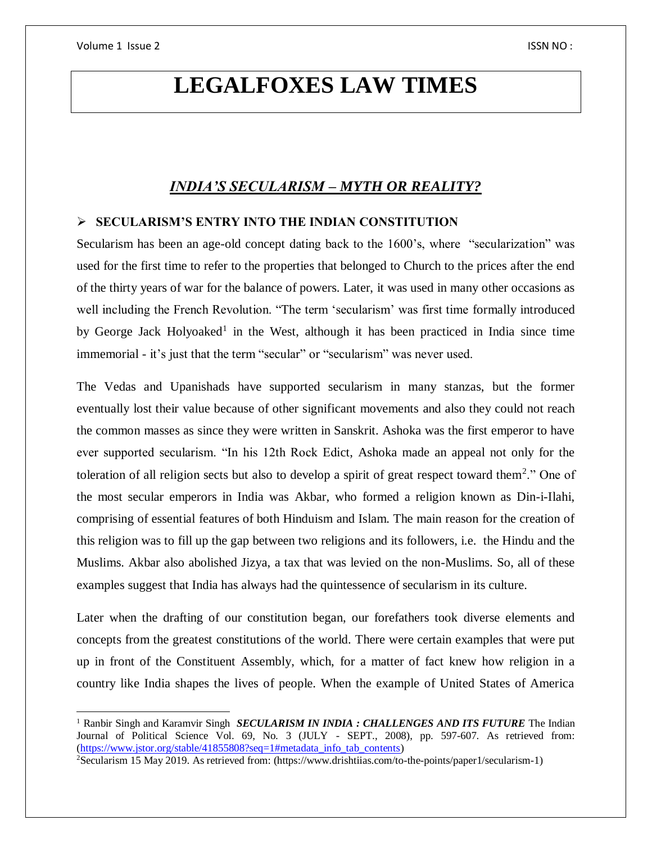$\overline{a}$ 

# **LEGALFOXES LAW TIMES**

# *INDIA'S SECULARISM – MYTH OR REALITY?*

## **SECULARISM'S ENTRY INTO THE INDIAN CONSTITUTION**

Secularism has been an age-old concept dating back to the 1600's, where "secularization" was used for the first time to refer to the properties that belonged to Church to the prices after the end of the thirty years of war for the balance of powers. Later, it was used in many other occasions as well including the French Revolution. "The term 'secularism' was first time formally introduced by George Jack Holyoaked<sup>1</sup> in the West, although it has been practiced in India since time immemorial - it's just that the term "secular" or "secularism" was never used.

The Vedas and Upanishads have supported secularism in many stanzas, but the former eventually lost their value because of other significant movements and also they could not reach the common masses as since they were written in Sanskrit. Ashoka was the first emperor to have ever supported secularism. "In his 12th Rock Edict, Ashoka made an appeal not only for the toleration of all religion sects but also to develop a spirit of great respect toward them<sup>2</sup>." One of the most secular emperors in India was Akbar, who formed a religion known as Din-i-Ilahi, comprising of essential features of both Hinduism and Islam. The main reason for the creation of this religion was to fill up the gap between two religions and its followers, i.e. the Hindu and the Muslims. Akbar also abolished Jizya, a tax that was levied on the non-Muslims. So, all of these examples suggest that India has always had the quintessence of secularism in its culture.

Later when the drafting of our constitution began, our forefathers took diverse elements and concepts from the greatest constitutions of the world. There were certain examples that were put up in front of the Constituent Assembly, which, for a matter of fact knew how religion in a country like India shapes the lives of people. When the example of United States of America

<sup>&</sup>lt;sup>1</sup> Ranbir Singh and Karamvir Singh *SECULARISM IN INDIA : CHALLENGES AND ITS FUTURE* The Indian Journal of Political Science Vol. 69, No. 3 (JULY - SEPT., 2008), pp. 597-607. As retrieved from: [\(https://www.jstor.org/stable/41855808?seq=1#metadata\\_info\\_tab\\_contents\)](https://www.jstor.org/stable/41855808?seq=1#metadata_info_tab_contents)

<sup>2</sup>Secularism 15 May 2019. As retrieved from: (https://www.drishtiias.com/to-the-points/paper1/secularism-1)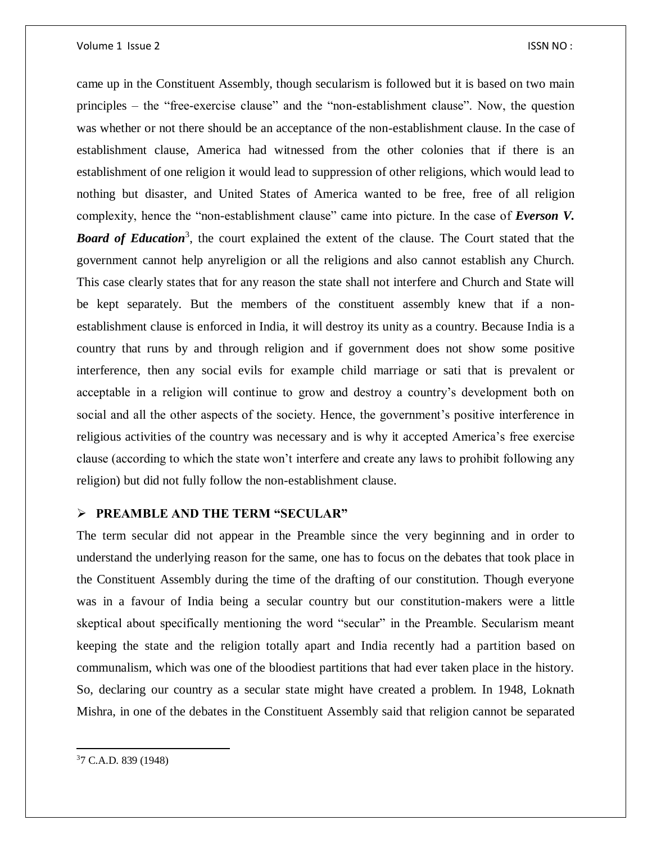came up in the Constituent Assembly, though secularism is followed but it is based on two main principles – the "free-exercise clause" and the "non-establishment clause". Now, the question was whether or not there should be an acceptance of the non-establishment clause. In the case of establishment clause, America had witnessed from the other colonies that if there is an establishment of one religion it would lead to suppression of other religions, which would lead to nothing but disaster, and United States of America wanted to be free, free of all religion complexity, hence the "non-establishment clause" came into picture. In the case of *Everson V.*  **Board of Education**<sup>3</sup>, the court explained the extent of the clause. The Court stated that the government cannot help anyreligion or all the religions and also cannot establish any Church. This case clearly states that for any reason the state shall not interfere and Church and State will be kept separately. But the members of the constituent assembly knew that if a nonestablishment clause is enforced in India, it will destroy its unity as a country. Because India is a country that runs by and through religion and if government does not show some positive interference, then any social evils for example child marriage or sati that is prevalent or acceptable in a religion will continue to grow and destroy a country's development both on social and all the other aspects of the society. Hence, the government's positive interference in religious activities of the country was necessary and is why it accepted America's free exercise clause (according to which the state won't interfere and create any laws to prohibit following any religion) but did not fully follow the non-establishment clause.

#### **PREAMBLE AND THE TERM "SECULAR"**

The term secular did not appear in the Preamble since the very beginning and in order to understand the underlying reason for the same, one has to focus on the debates that took place in the Constituent Assembly during the time of the drafting of our constitution. Though everyone was in a favour of India being a secular country but our constitution-makers were a little skeptical about specifically mentioning the word "secular" in the Preamble. Secularism meant keeping the state and the religion totally apart and India recently had a partition based on communalism, which was one of the bloodiest partitions that had ever taken place in the history. So, declaring our country as a secular state might have created a problem. In 1948, Loknath Mishra, in one of the debates in the Constituent Assembly said that religion cannot be separated

 $\overline{a}$ 37 C.A.D. 839 (1948)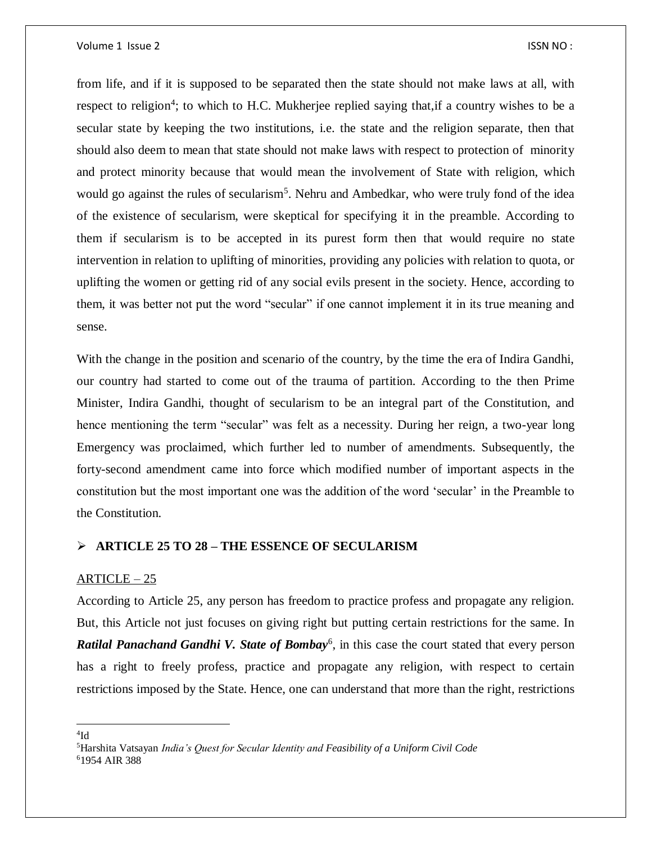#### Volume 1 Issue 2 ISSN NO :

from life, and if it is supposed to be separated then the state should not make laws at all, with respect to religion<sup>4</sup>; to which to H.C. Mukherjee replied saying that, if a country wishes to be a secular state by keeping the two institutions, i.e. the state and the religion separate, then that should also deem to mean that state should not make laws with respect to protection of minority and protect minority because that would mean the involvement of State with religion, which would go against the rules of secularism<sup>5</sup>. Nehru and Ambedkar, who were truly fond of the idea of the existence of secularism, were skeptical for specifying it in the preamble. According to them if secularism is to be accepted in its purest form then that would require no state intervention in relation to uplifting of minorities, providing any policies with relation to quota, or uplifting the women or getting rid of any social evils present in the society. Hence, according to them, it was better not put the word "secular" if one cannot implement it in its true meaning and sense.

With the change in the position and scenario of the country, by the time the era of Indira Gandhi, our country had started to come out of the trauma of partition. According to the then Prime Minister, Indira Gandhi, thought of secularism to be an integral part of the Constitution, and hence mentioning the term "secular" was felt as a necessity. During her reign, a two-year long Emergency was proclaimed, which further led to number of amendments. Subsequently, the forty-second amendment came into force which modified number of important aspects in the constitution but the most important one was the addition of the word 'secular' in the Preamble to the Constitution.

#### **ARTICLE 25 TO 28 – THE ESSENCE OF SECULARISM**

#### $ARTICLE - 25$

According to Article 25, any person has freedom to practice profess and propagate any religion. But, this Article not just focuses on giving right but putting certain restrictions for the same. In **Ratilal Panachand Gandhi V. State of Bombay**<sup>6</sup>, in this case the court stated that every person has a right to freely profess, practice and propagate any religion, with respect to certain restrictions imposed by the State. Hence, one can understand that more than the right, restrictions

 $\overline{a}$  $\rm ^4 Id$ 

<sup>5</sup>Harshita Vatsayan *India's Quest for Secular Identity and Feasibility of a Uniform Civil Code*  61954 AIR 388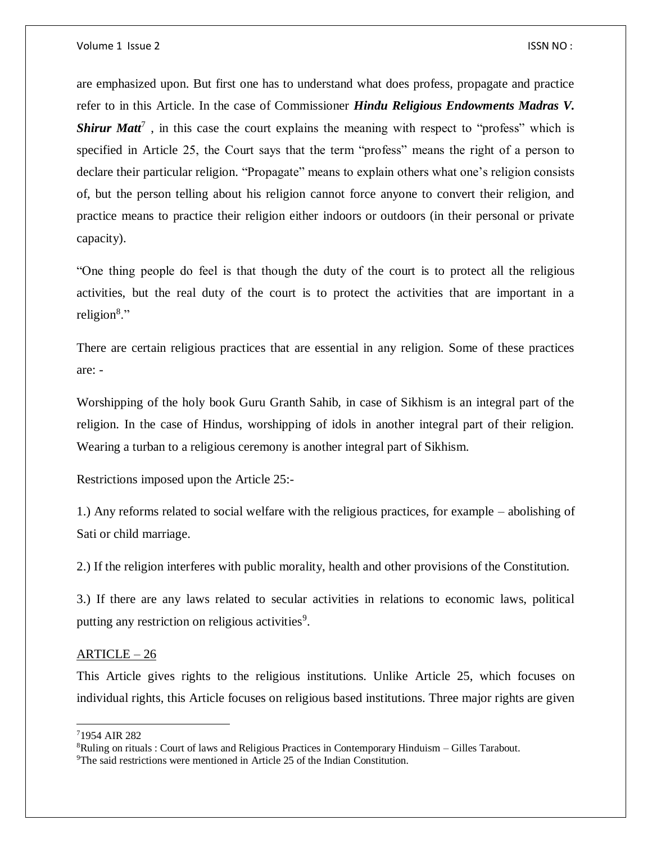are emphasized upon. But first one has to understand what does profess, propagate and practice refer to in this Article. In the case of Commissioner *Hindu Religious Endowments Madras V. Shirur Matt<sup>7</sup>*, in this case the court explains the meaning with respect to "profess" which is specified in Article 25, the Court says that the term "profess" means the right of a person to declare their particular religion. "Propagate" means to explain others what one's religion consists of, but the person telling about his religion cannot force anyone to convert their religion, and practice means to practice their religion either indoors or outdoors (in their personal or private capacity).

"One thing people do feel is that though the duty of the court is to protect all the religious activities, but the real duty of the court is to protect the activities that are important in a religion<sup>8</sup>."

There are certain religious practices that are essential in any religion. Some of these practices are: -

Worshipping of the holy book Guru Granth Sahib, in case of Sikhism is an integral part of the religion. In the case of Hindus, worshipping of idols in another integral part of their religion. Wearing a turban to a religious ceremony is another integral part of Sikhism.

Restrictions imposed upon the Article 25:-

1.) Any reforms related to social welfare with the religious practices, for example – abolishing of Sati or child marriage.

2.) If the religion interferes with public morality, health and other provisions of the Constitution.

3.) If there are any laws related to secular activities in relations to economic laws, political putting any restriction on religious activities<sup>9</sup>.

#### ARTICLE – 26

This Article gives rights to the religious institutions. Unlike Article 25, which focuses on individual rights, this Article focuses on religious based institutions. Three major rights are given

 $\overline{a}$ 

<sup>7</sup>1954 AIR 282

<sup>8</sup>Ruling on rituals : Court of laws and Religious Practices in Contemporary Hinduism – Gilles Tarabout.

<sup>&</sup>lt;sup>9</sup>The said restrictions were mentioned in Article 25 of the Indian Constitution.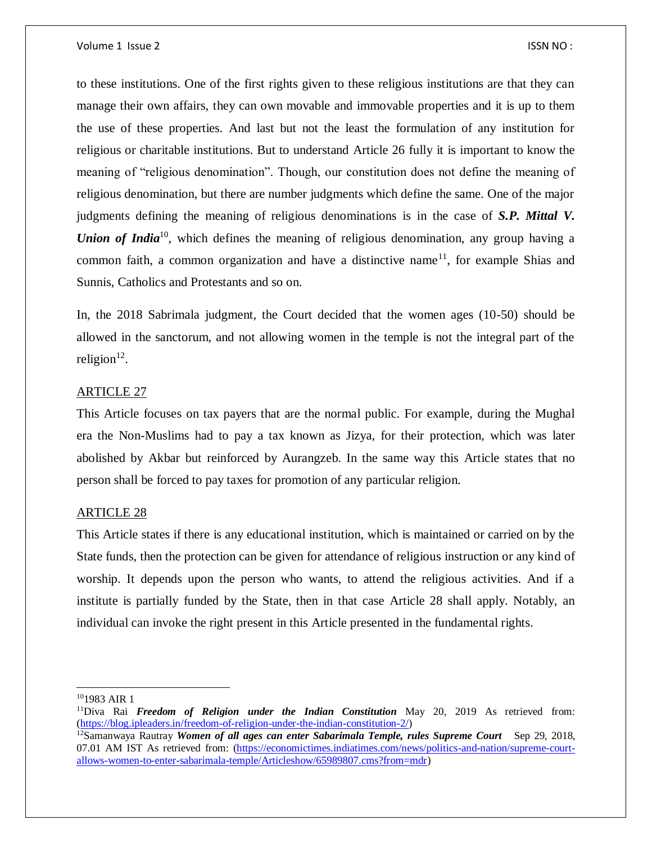to these institutions. One of the first rights given to these religious institutions are that they can manage their own affairs, they can own movable and immovable properties and it is up to them the use of these properties. And last but not the least the formulation of any institution for religious or charitable institutions. But to understand Article 26 fully it is important to know the meaning of "religious denomination". Though, our constitution does not define the meaning of religious denomination, but there are number judgments which define the same. One of the major judgments defining the meaning of religious denominations is in the case of *S.P. Mittal V. Union of India*<sup>10</sup>, which defines the meaning of religious denomination, any group having a common faith, a common organization and have a distinctive name<sup>11</sup>, for example Shias and Sunnis, Catholics and Protestants and so on.

In, the 2018 Sabrimala judgment, the Court decided that the women ages (10-50) should be allowed in the sanctorum, and not allowing women in the temple is not the integral part of the religion $12$ .

#### ARTICLE 27

This Article focuses on tax payers that are the normal public. For example, during the Mughal era the Non-Muslims had to pay a tax known as Jizya, for their protection, which was later abolished by Akbar but reinforced by Aurangzeb. In the same way this Article states that no person shall be forced to pay taxes for promotion of any particular religion.

#### ARTICLE 28

This Article states if there is any educational institution, which is maintained or carried on by the State funds, then the protection can be given for attendance of religious instruction or any kind of worship. It depends upon the person who wants, to attend the religious activities. And if a institute is partially funded by the State, then in that case Article 28 shall apply. Notably, an individual can invoke the right present in this Article presented in the fundamental rights.

 $\overline{a}$ 

 $101983$  AIR 1

<sup>11</sup>Diva Rai *Freedom of Religion under the Indian Constitution* May 20, 2019 As retrieved from: [\(https://blog.ipleaders.in/freedom-of-religion-under-the-indian-constitution-2/\)](https://blog.ipleaders.in/freedom-of-religion-under-the-indian-constitution-2/)

<sup>&</sup>lt;sup>12</sup>Samanwaya Rautray *Women of all ages can enter Sabarimala Temple, rules Supreme Court* Sep 29, 2018, 07.01 AM IST As retrieved from: [\(https://economictimes.indiatimes.com/news/politics-and-nation/supreme-court](https://economictimes.indiatimes.com/news/politics-and-nation/supreme-court-allows-women-to-enter-sabarimala-temple/Articleshow/65989807.cms?from=mdr)[allows-women-to-enter-sabarimala-temple/Articleshow/65989807.cms?from=mdr\)](https://economictimes.indiatimes.com/news/politics-and-nation/supreme-court-allows-women-to-enter-sabarimala-temple/Articleshow/65989807.cms?from=mdr)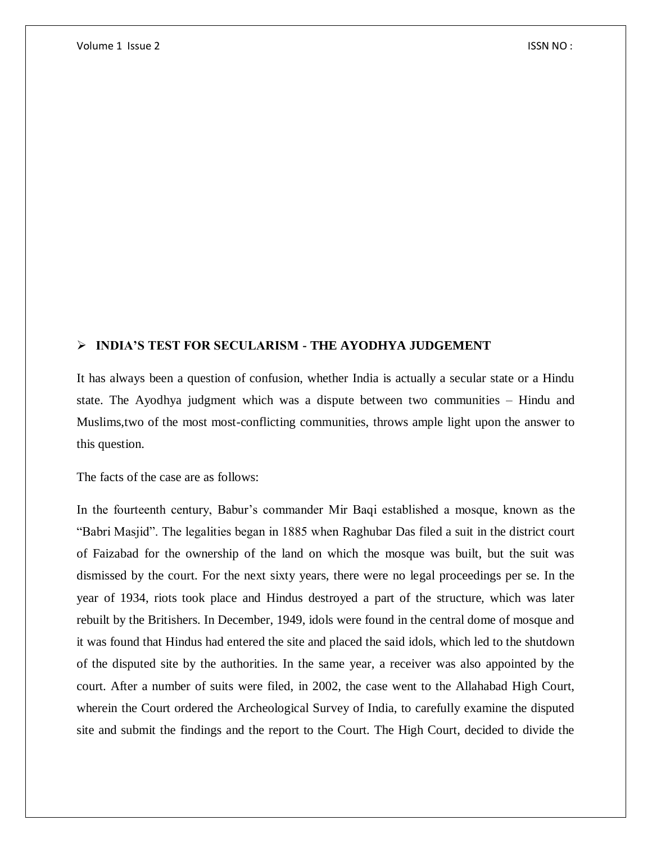### **INDIA'S TEST FOR SECULARISM - THE AYODHYA JUDGEMENT**

It has always been a question of confusion, whether India is actually a secular state or a Hindu state. The Ayodhya judgment which was a dispute between two communities – Hindu and Muslims,two of the most most-conflicting communities, throws ample light upon the answer to this question.

The facts of the case are as follows:

In the fourteenth century, Babur's commander Mir Baqi established a mosque, known as the "Babri Masjid". The legalities began in 1885 when Raghubar Das filed a suit in the district court of Faizabad for the ownership of the land on which the mosque was built, but the suit was dismissed by the court. For the next sixty years, there were no legal proceedings per se. In the year of 1934, riots took place and Hindus destroyed a part of the structure, which was later rebuilt by the Britishers. In December, 1949, idols were found in the central dome of mosque and it was found that Hindus had entered the site and placed the said idols, which led to the shutdown of the disputed site by the authorities. In the same year, a receiver was also appointed by the court. After a number of suits were filed, in 2002, the case went to the Allahabad High Court, wherein the Court ordered the Archeological Survey of India, to carefully examine the disputed site and submit the findings and the report to the Court. The High Court, decided to divide the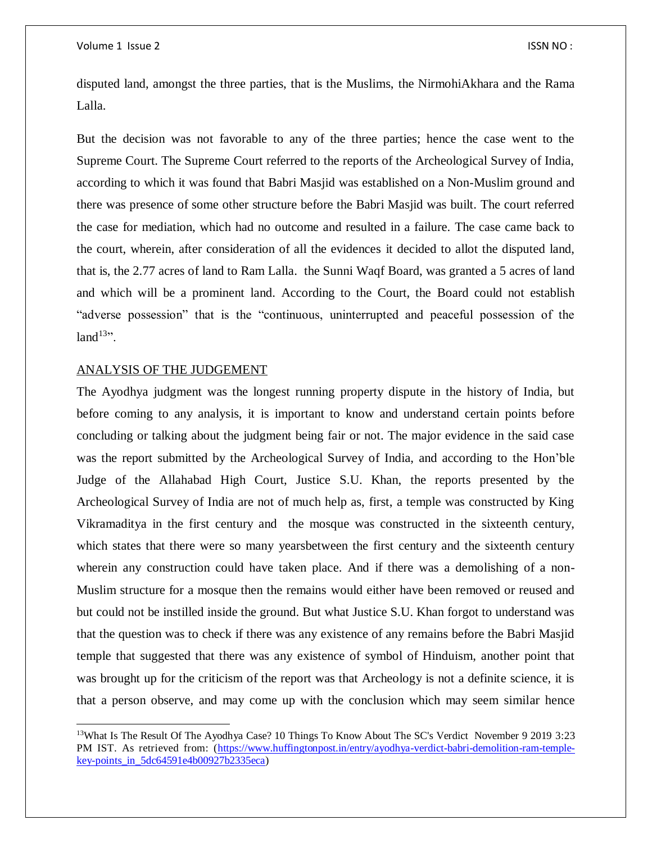disputed land, amongst the three parties, that is the Muslims, the NirmohiAkhara and the Rama Lalla.

But the decision was not favorable to any of the three parties; hence the case went to the Supreme Court. The Supreme Court referred to the reports of the Archeological Survey of India, according to which it was found that Babri Masjid was established on a Non-Muslim ground and there was presence of some other structure before the Babri Masjid was built. The court referred the case for mediation, which had no outcome and resulted in a failure. The case came back to the court, wherein, after consideration of all the evidences it decided to allot the disputed land, that is, the 2.77 acres of land to Ram Lalla. the Sunni Waqf Board, was granted a 5 acres of land and which will be a prominent land. According to the Court, the Board could not establish "adverse possession" that is the "continuous, uninterrupted and peaceful possession of the  $land<sup>13</sup>$ .

#### ANALYSIS OF THE JUDGEMENT

 $\overline{a}$ 

The Ayodhya judgment was the longest running property dispute in the history of India, but before coming to any analysis, it is important to know and understand certain points before concluding or talking about the judgment being fair or not. The major evidence in the said case was the report submitted by the Archeological Survey of India, and according to the Hon'ble Judge of the Allahabad High Court, Justice S.U. Khan, the reports presented by the Archeological Survey of India are not of much help as, first, a temple was constructed by King Vikramaditya in the first century and the mosque was constructed in the sixteenth century, which states that there were so many yearsbetween the first century and the sixteenth century wherein any construction could have taken place. And if there was a demolishing of a non-Muslim structure for a mosque then the remains would either have been removed or reused and but could not be instilled inside the ground. But what Justice S.U. Khan forgot to understand was that the question was to check if there was any existence of any remains before the Babri Masjid temple that suggested that there was any existence of symbol of Hinduism, another point that was brought up for the criticism of the report was that Archeology is not a definite science, it is that a person observe, and may come up with the conclusion which may seem similar hence

<sup>&</sup>lt;sup>13</sup>What Is The Result Of The Ayodhya Case? 10 Things To Know About The SC's Verdict November 9 2019 3:23 PM IST. As retrieved from: [\(https://www.huffingtonpost.in/entry/ayodhya-verdict-babri-demolition-ram-temple](https://www.huffingtonpost.in/entry/ayodhya-verdict-babri-demolition-ram-temple-key-points_in_5dc64591e4b00927b2335eca)[key-points\\_in\\_5dc64591e4b00927b2335eca\)](https://www.huffingtonpost.in/entry/ayodhya-verdict-babri-demolition-ram-temple-key-points_in_5dc64591e4b00927b2335eca)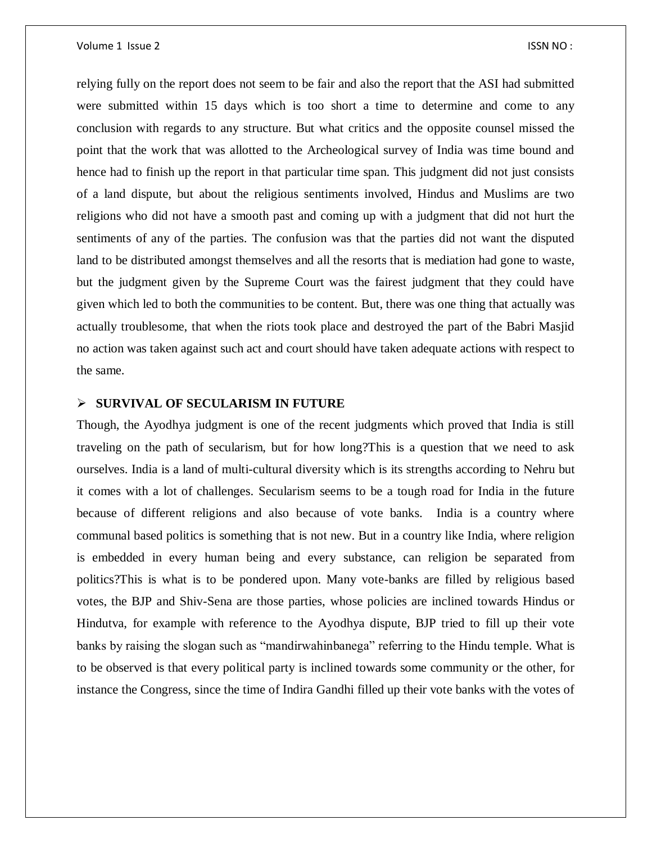#### Volume 1 Issue 2 ISSN NO :

relying fully on the report does not seem to be fair and also the report that the ASI had submitted were submitted within 15 days which is too short a time to determine and come to any conclusion with regards to any structure. But what critics and the opposite counsel missed the point that the work that was allotted to the Archeological survey of India was time bound and hence had to finish up the report in that particular time span. This judgment did not just consists of a land dispute, but about the religious sentiments involved, Hindus and Muslims are two religions who did not have a smooth past and coming up with a judgment that did not hurt the sentiments of any of the parties. The confusion was that the parties did not want the disputed land to be distributed amongst themselves and all the resorts that is mediation had gone to waste, but the judgment given by the Supreme Court was the fairest judgment that they could have given which led to both the communities to be content. But, there was one thing that actually was actually troublesome, that when the riots took place and destroyed the part of the Babri Masjid no action was taken against such act and court should have taken adequate actions with respect to the same.

#### **SURVIVAL OF SECULARISM IN FUTURE**

Though, the Ayodhya judgment is one of the recent judgments which proved that India is still traveling on the path of secularism, but for how long?This is a question that we need to ask ourselves. India is a land of multi-cultural diversity which is its strengths according to Nehru but it comes with a lot of challenges. Secularism seems to be a tough road for India in the future because of different religions and also because of vote banks. India is a country where communal based politics is something that is not new. But in a country like India, where religion is embedded in every human being and every substance, can religion be separated from politics?This is what is to be pondered upon. Many vote-banks are filled by religious based votes, the BJP and Shiv-Sena are those parties, whose policies are inclined towards Hindus or Hindutva, for example with reference to the Ayodhya dispute, BJP tried to fill up their vote banks by raising the slogan such as "mandirwahinbanega" referring to the Hindu temple. What is to be observed is that every political party is inclined towards some community or the other, for instance the Congress, since the time of Indira Gandhi filled up their vote banks with the votes of